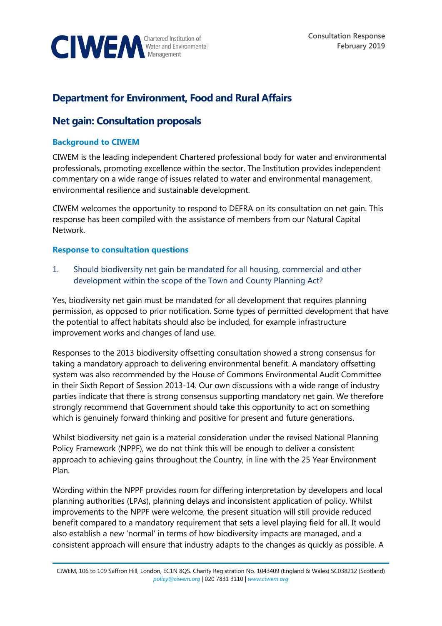

# **Department for Environment, Food and Rural Affairs**

# **Net gain: Consultation proposals**

## **Background to CIWEM**

CIWEM is the leading independent Chartered professional body for water and environmental professionals, promoting excellence within the sector. The Institution provides independent commentary on a wide range of issues related to water and environmental management, environmental resilience and sustainable development.

CIWEM welcomes the opportunity to respond to DEFRA on its consultation on net gain. This response has been compiled with the assistance of members from our Natural Capital Network.

#### **Response to consultation questions**

1. Should biodiversity net gain be mandated for all housing, commercial and other development within the scope of the Town and County Planning Act?

Yes, biodiversity net gain must be mandated for all development that requires planning permission, as opposed to prior notification. Some types of permitted development that have the potential to affect habitats should also be included, for example infrastructure improvement works and changes of land use.

Responses to the 2013 biodiversity offsetting consultation showed a strong consensus for taking a mandatory approach to delivering environmental benefit. A mandatory offsetting system was also recommended by the House of Commons Environmental Audit Committee in their Sixth Report of Session 2013-14. Our own discussions with a wide range of industry parties indicate that there is strong consensus supporting mandatory net gain. We therefore strongly recommend that Government should take this opportunity to act on something which is genuinely forward thinking and positive for present and future generations.

Whilst biodiversity net gain is a material consideration under the revised National Planning Policy Framework (NPPF), we do not think this will be enough to deliver a consistent approach to achieving gains throughout the Country, in line with the 25 Year Environment Plan.

Wording within the NPPF provides room for differing interpretation by developers and local planning authorities (LPAs), planning delays and inconsistent application of policy. Whilst improvements to the NPPF were welcome, the present situation will still provide reduced benefit compared to a mandatory requirement that sets a level playing field for all. It would also establish a new 'normal' in terms of how biodiversity impacts are managed, and a consistent approach will ensure that industry adapts to the changes as quickly as possible. A

CIWEM, 106 to 109 Saffron Hill, London, EC1N 8QS. Charity Registration No. 1043409 (England & Wales) SC038212 (Scotland) *[policy@ciwem.org](mailto:policy@ciwem.org)* | 020 7831 3110 | *[www.ciwem.org](http://www.ciwem.org/)*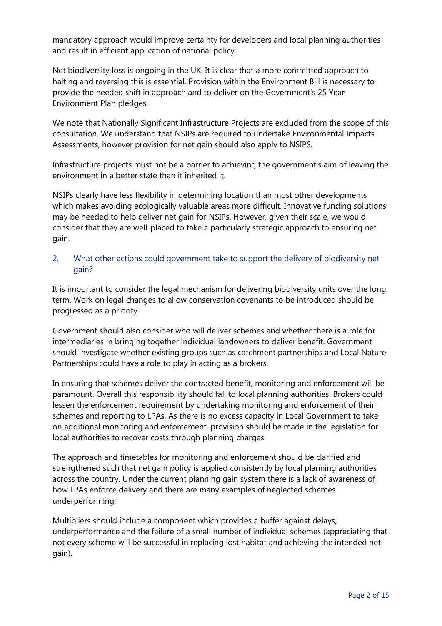mandatory approach would improve certainty for developers and local planning authorities and result in efficient application of national policy.

Net biodiversity loss is ongoing in the UK. It is clear that a more committed approach to halting and reversing this is essential. Provision within the Environment Bill is necessary to provide the needed shift in approach and to deliver on the Government's 25 Year Environment Plan pledges.

We note that Nationally Significant Infrastructure Projects are excluded from the scope of this consultation. We understand that NSIPs are required to undertake Environmental Impacts Assessments, however provision for net gain should also apply to NSIPS.

Infrastructure projects must not be a barrier to achieving the government's aim of leaving the environment in a better state than it inherited it.

NSIPs clearly have less flexibility in determining location than most other developments which makes avoiding ecologically valuable areas more difficult. Innovative funding solutions may be needed to help deliver net gain for NSIPs. However, given their scale, we would consider that they are well-placed to take a particularly strategic approach to ensuring net gain.

## 2. What other actions could government take to support the delivery of biodiversity net gain?

It is important to consider the legal mechanism for delivering biodiversity units over the long term. Work on legal changes to allow conservation covenants to be introduced should be progressed as a priority.

Government should also consider who will deliver schemes and whether there is a role for intermediaries in bringing together individual landowners to deliver benefit. Government should investigate whether existing groups such as catchment partnerships and Local Nature Partnerships could have a role to play in acting as a brokers.

In ensuring that schemes deliver the contracted benefit, monitoring and enforcement will be paramount. Overall this responsibility should fall to local planning authorities. Brokers could lessen the enforcement requirement by undertaking monitoring and enforcement of their schemes and reporting to LPAs. As there is no excess capacity in Local Government to take on additional monitoring and enforcement, provision should be made in the legislation for local authorities to recover costs through planning charges.

The approach and timetables for monitoring and enforcement should be clarified and strengthened such that net gain policy is applied consistently by local planning authorities across the country. Under the current planning gain system there is a lack of awareness of how LPAs enforce delivery and there are many examples of neglected schemes underperforming.

Multipliers should include a component which provides a buffer against delays, underperformance and the failure of a small number of individual schemes (appreciating that not every scheme will be successful in replacing lost habitat and achieving the intended net gain).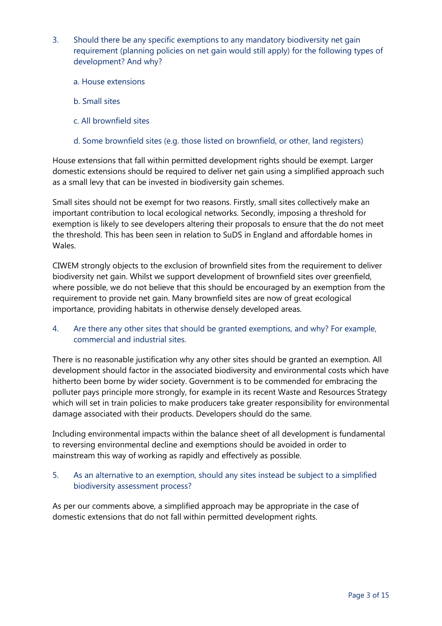- 3. Should there be any specific exemptions to any mandatory biodiversity net gain requirement (planning policies on net gain would still apply) for the following types of development? And why?
	- a. House extensions
	- b. Small sites
	- c. All brownfield sites
	- d. Some brownfield sites (e.g. those listed on brownfield, or other, land registers)

House extensions that fall within permitted development rights should be exempt. Larger domestic extensions should be required to deliver net gain using a simplified approach such as a small levy that can be invested in biodiversity gain schemes.

Small sites should not be exempt for two reasons. Firstly, small sites collectively make an important contribution to local ecological networks. Secondly, imposing a threshold for exemption is likely to see developers altering their proposals to ensure that the do not meet the threshold. This has been seen in relation to SuDS in England and affordable homes in Wales.

CIWEM strongly objects to the exclusion of brownfield sites from the requirement to deliver biodiversity net gain. Whilst we support development of brownfield sites over greenfield, where possible, we do not believe that this should be encouraged by an exemption from the requirement to provide net gain. Many brownfield sites are now of great ecological importance, providing habitats in otherwise densely developed areas.

4. Are there any other sites that should be granted exemptions, and why? For example, commercial and industrial sites.

There is no reasonable justification why any other sites should be granted an exemption. All development should factor in the associated biodiversity and environmental costs which have hitherto been borne by wider society. Government is to be commended for embracing the polluter pays principle more strongly, for example in its recent Waste and Resources Strategy which will set in train policies to make producers take greater responsibility for environmental damage associated with their products. Developers should do the same.

Including environmental impacts within the balance sheet of all development is fundamental to reversing environmental decline and exemptions should be avoided in order to mainstream this way of working as rapidly and effectively as possible.

## 5. As an alternative to an exemption, should any sites instead be subject to a simplified biodiversity assessment process?

As per our comments above, a simplified approach may be appropriate in the case of domestic extensions that do not fall within permitted development rights.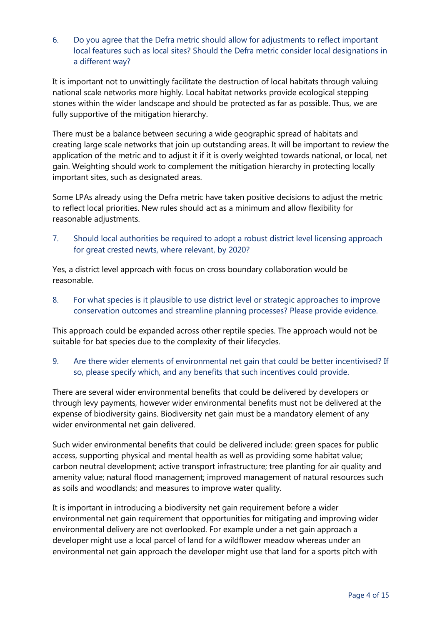6. Do you agree that the Defra metric should allow for adjustments to reflect important local features such as local sites? Should the Defra metric consider local designations in a different way?

It is important not to unwittingly facilitate the destruction of local habitats through valuing national scale networks more highly. Local habitat networks provide ecological stepping stones within the wider landscape and should be protected as far as possible. Thus, we are fully supportive of the mitigation hierarchy.

There must be a balance between securing a wide geographic spread of habitats and creating large scale networks that join up outstanding areas. It will be important to review the application of the metric and to adjust it if it is overly weighted towards national, or local, net gain. Weighting should work to complement the mitigation hierarchy in protecting locally important sites, such as designated areas.

Some LPAs already using the Defra metric have taken positive decisions to adjust the metric to reflect local priorities. New rules should act as a minimum and allow flexibility for reasonable adjustments.

7. Should local authorities be required to adopt a robust district level licensing approach for great crested newts, where relevant, by 2020?

Yes, a district level approach with focus on cross boundary collaboration would be reasonable.

8. For what species is it plausible to use district level or strategic approaches to improve conservation outcomes and streamline planning processes? Please provide evidence.

This approach could be expanded across other reptile species. The approach would not be suitable for bat species due to the complexity of their lifecycles.

9. Are there wider elements of environmental net gain that could be better incentivised? If so, please specify which, and any benefits that such incentives could provide.

There are several wider environmental benefits that could be delivered by developers or through levy payments, however wider environmental benefits must not be delivered at the expense of biodiversity gains. Biodiversity net gain must be a mandatory element of any wider environmental net gain delivered.

Such wider environmental benefits that could be delivered include: green spaces for public access, supporting physical and mental health as well as providing some habitat value; carbon neutral development; active transport infrastructure; tree planting for air quality and amenity value; natural flood management; improved management of natural resources such as soils and woodlands; and measures to improve water quality.

It is important in introducing a biodiversity net gain requirement before a wider environmental net gain requirement that opportunities for mitigating and improving wider environmental delivery are not overlooked. For example under a net gain approach a developer might use a local parcel of land for a wildflower meadow whereas under an environmental net gain approach the developer might use that land for a sports pitch with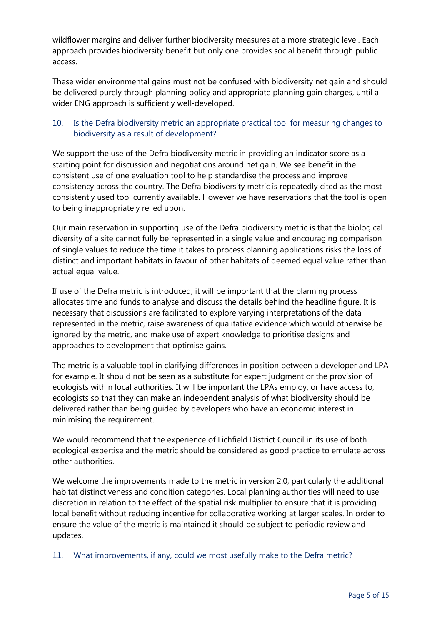wildflower margins and deliver further biodiversity measures at a more strategic level. Each approach provides biodiversity benefit but only one provides social benefit through public access.

These wider environmental gains must not be confused with biodiversity net gain and should be delivered purely through planning policy and appropriate planning gain charges, until a wider ENG approach is sufficiently well-developed.

# 10. Is the Defra biodiversity metric an appropriate practical tool for measuring changes to biodiversity as a result of development?

We support the use of the Defra biodiversity metric in providing an indicator score as a starting point for discussion and negotiations around net gain. We see benefit in the consistent use of one evaluation tool to help standardise the process and improve consistency across the country. The Defra biodiversity metric is repeatedly cited as the most consistently used tool currently available. However we have reservations that the tool is open to being inappropriately relied upon.

Our main reservation in supporting use of the Defra biodiversity metric is that the biological diversity of a site cannot fully be represented in a single value and encouraging comparison of single values to reduce the time it takes to process planning applications risks the loss of distinct and important habitats in favour of other habitats of deemed equal value rather than actual equal value.

If use of the Defra metric is introduced, it will be important that the planning process allocates time and funds to analyse and discuss the details behind the headline figure. It is necessary that discussions are facilitated to explore varying interpretations of the data represented in the metric, raise awareness of qualitative evidence which would otherwise be ignored by the metric, and make use of expert knowledge to prioritise designs and approaches to development that optimise gains.

The metric is a valuable tool in clarifying differences in position between a developer and LPA for example. It should not be seen as a substitute for expert judgment or the provision of ecologists within local authorities. It will be important the LPAs employ, or have access to, ecologists so that they can make an independent analysis of what biodiversity should be delivered rather than being guided by developers who have an economic interest in minimising the requirement.

We would recommend that the experience of Lichfield District Council in its use of both ecological expertise and the metric should be considered as good practice to emulate across other authorities.

We welcome the improvements made to the metric in version 2.0, particularly the additional habitat distinctiveness and condition categories. Local planning authorities will need to use discretion in relation to the effect of the spatial risk multiplier to ensure that it is providing local benefit without reducing incentive for collaborative working at larger scales. In order to ensure the value of the metric is maintained it should be subject to periodic review and updates.

## 11. What improvements, if any, could we most usefully make to the Defra metric?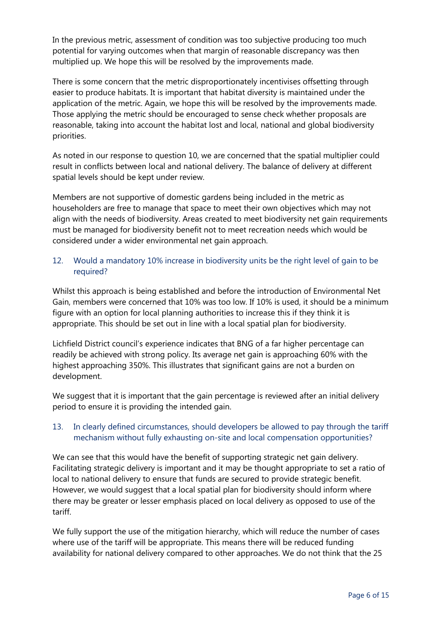In the previous metric, assessment of condition was too subjective producing too much potential for varying outcomes when that margin of reasonable discrepancy was then multiplied up. We hope this will be resolved by the improvements made.

There is some concern that the metric disproportionately incentivises offsetting through easier to produce habitats. It is important that habitat diversity is maintained under the application of the metric. Again, we hope this will be resolved by the improvements made. Those applying the metric should be encouraged to sense check whether proposals are reasonable, taking into account the habitat lost and local, national and global biodiversity priorities.

As noted in our response to question 10, we are concerned that the spatial multiplier could result in conflicts between local and national delivery. The balance of delivery at different spatial levels should be kept under review.

Members are not supportive of domestic gardens being included in the metric as householders are free to manage that space to meet their own objectives which may not align with the needs of biodiversity. Areas created to meet biodiversity net gain requirements must be managed for biodiversity benefit not to meet recreation needs which would be considered under a wider environmental net gain approach.

# 12. Would a mandatory 10% increase in biodiversity units be the right level of gain to be required?

Whilst this approach is being established and before the introduction of Environmental Net Gain, members were concerned that 10% was too low. If 10% is used, it should be a minimum figure with an option for local planning authorities to increase this if they think it is appropriate. This should be set out in line with a local spatial plan for biodiversity.

Lichfield District council's experience indicates that BNG of a far higher percentage can readily be achieved with strong policy. Its average net gain is approaching 60% with the highest approaching 350%. This illustrates that significant gains are not a burden on development.

We suggest that it is important that the gain percentage is reviewed after an initial delivery period to ensure it is providing the intended gain.

## 13. In clearly defined circumstances, should developers be allowed to pay through the tariff mechanism without fully exhausting on-site and local compensation opportunities?

We can see that this would have the benefit of supporting strategic net gain delivery. Facilitating strategic delivery is important and it may be thought appropriate to set a ratio of local to national delivery to ensure that funds are secured to provide strategic benefit. However, we would suggest that a local spatial plan for biodiversity should inform where there may be greater or lesser emphasis placed on local delivery as opposed to use of the tariff.

We fully support the use of the mitigation hierarchy, which will reduce the number of cases where use of the tariff will be appropriate. This means there will be reduced funding availability for national delivery compared to other approaches. We do not think that the 25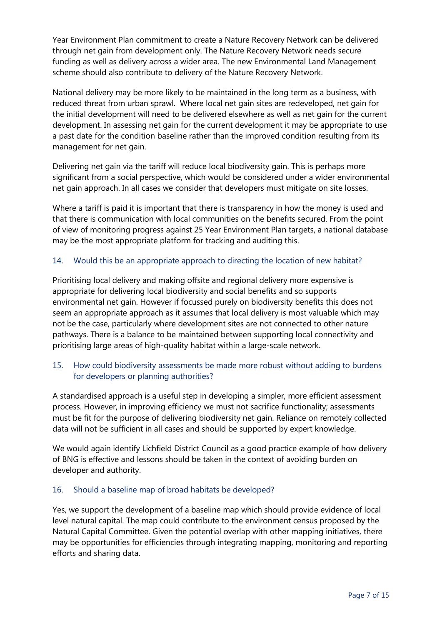Year Environment Plan commitment to create a Nature Recovery Network can be delivered through net gain from development only. The Nature Recovery Network needs secure funding as well as delivery across a wider area. The new Environmental Land Management scheme should also contribute to delivery of the Nature Recovery Network.

National delivery may be more likely to be maintained in the long term as a business, with reduced threat from urban sprawl. Where local net gain sites are redeveloped, net gain for the initial development will need to be delivered elsewhere as well as net gain for the current development. In assessing net gain for the current development it may be appropriate to use a past date for the condition baseline rather than the improved condition resulting from its management for net gain.

Delivering net gain via the tariff will reduce local biodiversity gain. This is perhaps more significant from a social perspective, which would be considered under a wider environmental net gain approach. In all cases we consider that developers must mitigate on site losses.

Where a tariff is paid it is important that there is transparency in how the money is used and that there is communication with local communities on the benefits secured. From the point of view of monitoring progress against 25 Year Environment Plan targets, a national database may be the most appropriate platform for tracking and auditing this.

## 14. Would this be an appropriate approach to directing the location of new habitat?

Prioritising local delivery and making offsite and regional delivery more expensive is appropriate for delivering local biodiversity and social benefits and so supports environmental net gain. However if focussed purely on biodiversity benefits this does not seem an appropriate approach as it assumes that local delivery is most valuable which may not be the case, particularly where development sites are not connected to other nature pathways. There is a balance to be maintained between supporting local connectivity and prioritising large areas of high-quality habitat within a large-scale network.

#### 15. How could biodiversity assessments be made more robust without adding to burdens for developers or planning authorities?

A standardised approach is a useful step in developing a simpler, more efficient assessment process. However, in improving efficiency we must not sacrifice functionality; assessments must be fit for the purpose of delivering biodiversity net gain. Reliance on remotely collected data will not be sufficient in all cases and should be supported by expert knowledge.

We would again identify Lichfield District Council as a good practice example of how delivery of BNG is effective and lessons should be taken in the context of avoiding burden on developer and authority.

#### 16. Should a baseline map of broad habitats be developed?

Yes, we support the development of a baseline map which should provide evidence of local level natural capital. The map could contribute to the environment census proposed by the Natural Capital Committee. Given the potential overlap with other mapping initiatives, there may be opportunities for efficiencies through integrating mapping, monitoring and reporting efforts and sharing data.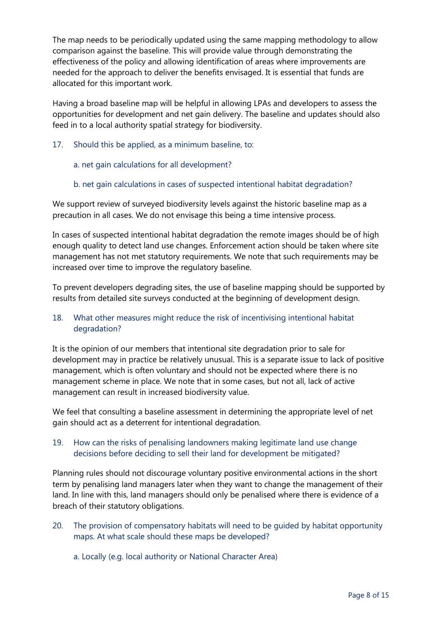The map needs to be periodically updated using the same mapping methodology to allow comparison against the baseline. This will provide value through demonstrating the effectiveness of the policy and allowing identification of areas where improvements are needed for the approach to deliver the benefits envisaged. It is essential that funds are allocated for this important work.

Having a broad baseline map will be helpful in allowing LPAs and developers to assess the opportunities for development and net gain delivery. The baseline and updates should also feed in to a local authority spatial strategy for biodiversity.

17. Should this be applied, as a minimum baseline, to:

#### a. net gain calculations for all development?

#### b. net gain calculations in cases of suspected intentional habitat degradation?

We support review of surveyed biodiversity levels against the historic baseline map as a precaution in all cases. We do not envisage this being a time intensive process.

In cases of suspected intentional habitat degradation the remote images should be of high enough quality to detect land use changes. Enforcement action should be taken where site management has not met statutory requirements. We note that such requirements may be increased over time to improve the regulatory baseline.

To prevent developers degrading sites, the use of baseline mapping should be supported by results from detailed site surveys conducted at the beginning of development design.

## 18. What other measures might reduce the risk of incentivising intentional habitat degradation?

It is the opinion of our members that intentional site degradation prior to sale for development may in practice be relatively unusual. This is a separate issue to lack of positive management, which is often voluntary and should not be expected where there is no management scheme in place. We note that in some cases, but not all, lack of active management can result in increased biodiversity value.

We feel that consulting a baseline assessment in determining the appropriate level of net gain should act as a deterrent for intentional degradation.

## 19. How can the risks of penalising landowners making legitimate land use change decisions before deciding to sell their land for development be mitigated?

Planning rules should not discourage voluntary positive environmental actions in the short term by penalising land managers later when they want to change the management of their land. In line with this, land managers should only be penalised where there is evidence of a breach of their statutory obligations.

- 20. The provision of compensatory habitats will need to be guided by habitat opportunity maps. At what scale should these maps be developed?
	- a. Locally (e.g. local authority or National Character Area)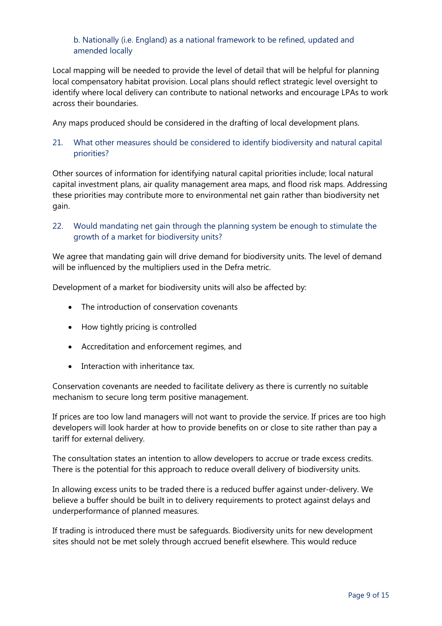#### b. Nationally (i.e. England) as a national framework to be refined, updated and amended locally

Local mapping will be needed to provide the level of detail that will be helpful for planning local compensatory habitat provision. Local plans should reflect strategic level oversight to identify where local delivery can contribute to national networks and encourage LPAs to work across their boundaries.

Any maps produced should be considered in the drafting of local development plans.

# 21. What other measures should be considered to identify biodiversity and natural capital priorities?

Other sources of information for identifying natural capital priorities include; local natural capital investment plans, air quality management area maps, and flood risk maps. Addressing these priorities may contribute more to environmental net gain rather than biodiversity net gain.

## 22. Would mandating net gain through the planning system be enough to stimulate the growth of a market for biodiversity units?

We agree that mandating gain will drive demand for biodiversity units. The level of demand will be influenced by the multipliers used in the Defra metric.

Development of a market for biodiversity units will also be affected by:

- The introduction of conservation covenants
- How tightly pricing is controlled
- Accreditation and enforcement regimes, and
- Interaction with inheritance tax

Conservation covenants are needed to facilitate delivery as there is currently no suitable mechanism to secure long term positive management.

If prices are too low land managers will not want to provide the service. If prices are too high developers will look harder at how to provide benefits on or close to site rather than pay a tariff for external delivery.

The consultation states an intention to allow developers to accrue or trade excess credits. There is the potential for this approach to reduce overall delivery of biodiversity units.

In allowing excess units to be traded there is a reduced buffer against under-delivery. We believe a buffer should be built in to delivery requirements to protect against delays and underperformance of planned measures.

If trading is introduced there must be safeguards. Biodiversity units for new development sites should not be met solely through accrued benefit elsewhere. This would reduce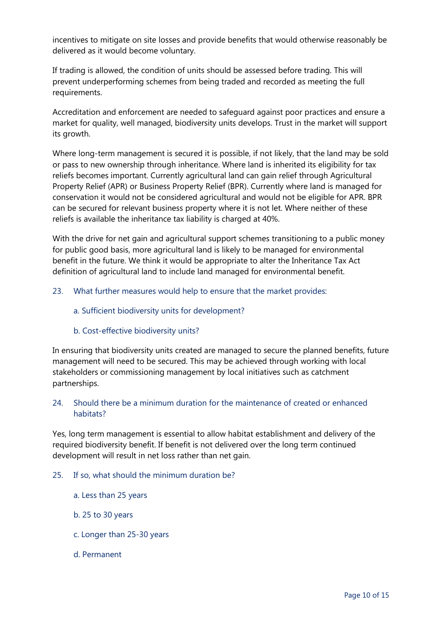incentives to mitigate on site losses and provide benefits that would otherwise reasonably be delivered as it would become voluntary.

If trading is allowed, the condition of units should be assessed before trading. This will prevent underperforming schemes from being traded and recorded as meeting the full requirements.

Accreditation and enforcement are needed to safeguard against poor practices and ensure a market for quality, well managed, biodiversity units develops. Trust in the market will support its growth.

Where long-term management is secured it is possible, if not likely, that the land may be sold or pass to new ownership through inheritance. Where land is inherited its eligibility for tax reliefs becomes important. Currently agricultural land can gain relief through Agricultural Property Relief (APR) or Business Property Relief (BPR). Currently where land is managed for conservation it would not be considered agricultural and would not be eligible for APR. BPR can be secured for relevant business property where it is not let. Where neither of these reliefs is available the inheritance tax liability is charged at 40%.

With the drive for net gain and agricultural support schemes transitioning to a public money for public good basis, more agricultural land is likely to be managed for environmental benefit in the future. We think it would be appropriate to alter the Inheritance Tax Act definition of agricultural land to include land managed for environmental benefit.

- 23. What further measures would help to ensure that the market provides:
	- a. Sufficient biodiversity units for development?
	- b. Cost-effective biodiversity units?

In ensuring that biodiversity units created are managed to secure the planned benefits, future management will need to be secured. This may be achieved through working with local stakeholders or commissioning management by local initiatives such as catchment partnerships.

#### 24. Should there be a minimum duration for the maintenance of created or enhanced habitats?

Yes, long term management is essential to allow habitat establishment and delivery of the required biodiversity benefit. If benefit is not delivered over the long term continued development will result in net loss rather than net gain.

- 25. If so, what should the minimum duration be?
	- a. Less than 25 years
	- b. 25 to 30 years
	- c. Longer than 25-30 years
	- d. Permanent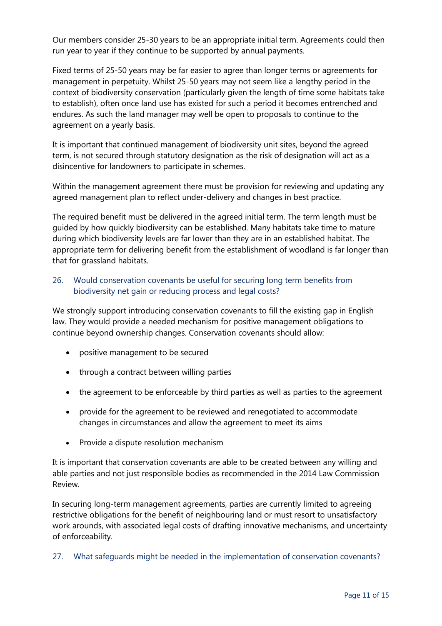Our members consider 25-30 years to be an appropriate initial term. Agreements could then run year to year if they continue to be supported by annual payments.

Fixed terms of 25-50 years may be far easier to agree than longer terms or agreements for management in perpetuity. Whilst 25-50 years may not seem like a lengthy period in the context of biodiversity conservation (particularly given the length of time some habitats take to establish), often once land use has existed for such a period it becomes entrenched and endures. As such the land manager may well be open to proposals to continue to the agreement on a yearly basis.

It is important that continued management of biodiversity unit sites, beyond the agreed term, is not secured through statutory designation as the risk of designation will act as a disincentive for landowners to participate in schemes.

Within the management agreement there must be provision for reviewing and updating any agreed management plan to reflect under-delivery and changes in best practice.

The required benefit must be delivered in the agreed initial term. The term length must be guided by how quickly biodiversity can be established. Many habitats take time to mature during which biodiversity levels are far lower than they are in an established habitat. The appropriate term for delivering benefit from the establishment of woodland is far longer than that for grassland habitats.

## 26. Would conservation covenants be useful for securing long term benefits from biodiversity net gain or reducing process and legal costs?

We strongly support introducing conservation covenants to fill the existing gap in English law. They would provide a needed mechanism for positive management obligations to continue beyond ownership changes. Conservation covenants should allow:

- positive management to be secured
- through a contract between willing parties
- the agreement to be enforceable by third parties as well as parties to the agreement
- provide for the agreement to be reviewed and renegotiated to accommodate changes in circumstances and allow the agreement to meet its aims
- Provide a dispute resolution mechanism

It is important that conservation covenants are able to be created between any willing and able parties and not just responsible bodies as recommended in the 2014 Law Commission Review.

In securing long-term management agreements, parties are currently limited to agreeing restrictive obligations for the benefit of neighbouring land or must resort to unsatisfactory work arounds, with associated legal costs of drafting innovative mechanisms, and uncertainty of enforceability.

27. What safeguards might be needed in the implementation of conservation covenants?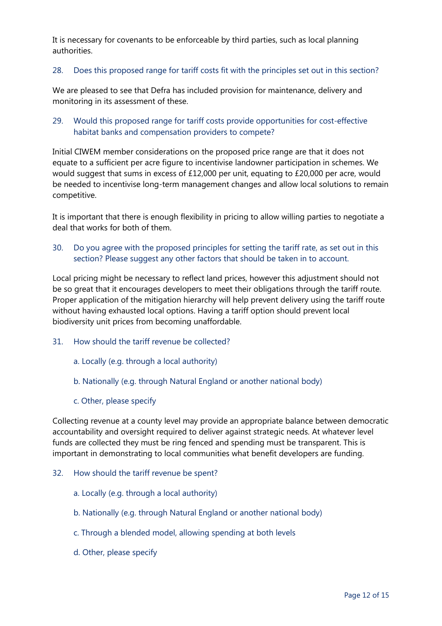It is necessary for covenants to be enforceable by third parties, such as local planning authorities.

#### 28. Does this proposed range for tariff costs fit with the principles set out in this section?

We are pleased to see that Defra has included provision for maintenance, delivery and monitoring in its assessment of these.

# 29. Would this proposed range for tariff costs provide opportunities for cost-effective habitat banks and compensation providers to compete?

Initial CIWEM member considerations on the proposed price range are that it does not equate to a sufficient per acre figure to incentivise landowner participation in schemes. We would suggest that sums in excess of £12,000 per unit, equating to £20,000 per acre, would be needed to incentivise long-term management changes and allow local solutions to remain competitive.

It is important that there is enough flexibility in pricing to allow willing parties to negotiate a deal that works for both of them.

## 30. Do you agree with the proposed principles for setting the tariff rate, as set out in this section? Please suggest any other factors that should be taken in to account.

Local pricing might be necessary to reflect land prices, however this adjustment should not be so great that it encourages developers to meet their obligations through the tariff route. Proper application of the mitigation hierarchy will help prevent delivery using the tariff route without having exhausted local options. Having a tariff option should prevent local biodiversity unit prices from becoming unaffordable.

- 31. How should the tariff revenue be collected?
	- a. Locally (e.g. through a local authority)
	- b. Nationally (e.g. through Natural England or another national body)
	- c. Other, please specify

Collecting revenue at a county level may provide an appropriate balance between democratic accountability and oversight required to deliver against strategic needs. At whatever level funds are collected they must be ring fenced and spending must be transparent. This is important in demonstrating to local communities what benefit developers are funding.

- 32. How should the tariff revenue be spent?
	- a. Locally (e.g. through a local authority)
	- b. Nationally (e.g. through Natural England or another national body)
	- c. Through a blended model, allowing spending at both levels
	- d. Other, please specify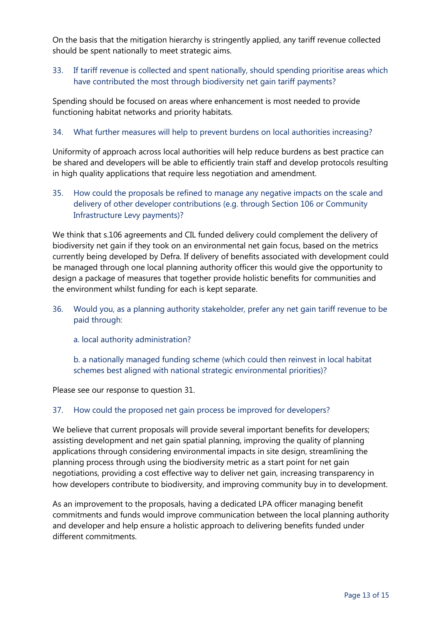On the basis that the mitigation hierarchy is stringently applied, any tariff revenue collected should be spent nationally to meet strategic aims.

## 33. If tariff revenue is collected and spent nationally, should spending prioritise areas which have contributed the most through biodiversity net gain tariff payments?

Spending should be focused on areas where enhancement is most needed to provide functioning habitat networks and priority habitats.

#### 34. What further measures will help to prevent burdens on local authorities increasing?

Uniformity of approach across local authorities will help reduce burdens as best practice can be shared and developers will be able to efficiently train staff and develop protocols resulting in high quality applications that require less negotiation and amendment.

35. How could the proposals be refined to manage any negative impacts on the scale and delivery of other developer contributions (e.g. through Section 106 or Community Infrastructure Levy payments)?

We think that s.106 agreements and CIL funded delivery could complement the delivery of biodiversity net gain if they took on an environmental net gain focus, based on the metrics currently being developed by Defra. If delivery of benefits associated with development could be managed through one local planning authority officer this would give the opportunity to design a package of measures that together provide holistic benefits for communities and the environment whilst funding for each is kept separate.

- 36. Would you, as a planning authority stakeholder, prefer any net gain tariff revenue to be paid through:
	- a. local authority administration?

b. a nationally managed funding scheme (which could then reinvest in local habitat schemes best aligned with national strategic environmental priorities)?

Please see our response to question 31.

#### 37. How could the proposed net gain process be improved for developers?

We believe that current proposals will provide several important benefits for developers; assisting development and net gain spatial planning, improving the quality of planning applications through considering environmental impacts in site design, streamlining the planning process through using the biodiversity metric as a start point for net gain negotiations, providing a cost effective way to deliver net gain, increasing transparency in how developers contribute to biodiversity, and improving community buy in to development.

As an improvement to the proposals, having a dedicated LPA officer managing benefit commitments and funds would improve communication between the local planning authority and developer and help ensure a holistic approach to delivering benefits funded under different commitments.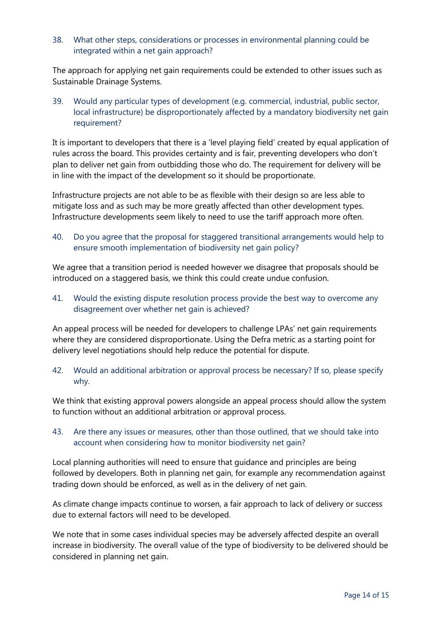38. What other steps, considerations or processes in environmental planning could be integrated within a net gain approach?

The approach for applying net gain requirements could be extended to other issues such as Sustainable Drainage Systems.

39. Would any particular types of development (e.g. commercial, industrial, public sector, local infrastructure) be disproportionately affected by a mandatory biodiversity net gain requirement?

It is important to developers that there is a 'level playing field' created by equal application of rules across the board. This provides certainty and is fair, preventing developers who don't plan to deliver net gain from outbidding those who do. The requirement for delivery will be in line with the impact of the development so it should be proportionate.

Infrastructure projects are not able to be as flexible with their design so are less able to mitigate loss and as such may be more greatly affected than other development types. Infrastructure developments seem likely to need to use the tariff approach more often.

40. Do you agree that the proposal for staggered transitional arrangements would help to ensure smooth implementation of biodiversity net gain policy?

We agree that a transition period is needed however we disagree that proposals should be introduced on a staggered basis, we think this could create undue confusion.

41. Would the existing dispute resolution process provide the best way to overcome any disagreement over whether net gain is achieved?

An appeal process will be needed for developers to challenge LPAs' net gain requirements where they are considered disproportionate. Using the Defra metric as a starting point for delivery level negotiations should help reduce the potential for dispute.

42. Would an additional arbitration or approval process be necessary? If so, please specify why.

We think that existing approval powers alongside an appeal process should allow the system to function without an additional arbitration or approval process.

## 43. Are there any issues or measures, other than those outlined, that we should take into account when considering how to monitor biodiversity net gain?

Local planning authorities will need to ensure that guidance and principles are being followed by developers. Both in planning net gain, for example any recommendation against trading down should be enforced, as well as in the delivery of net gain.

As climate change impacts continue to worsen, a fair approach to lack of delivery or success due to external factors will need to be developed.

We note that in some cases individual species may be adversely affected despite an overall increase in biodiversity. The overall value of the type of biodiversity to be delivered should be considered in planning net gain.